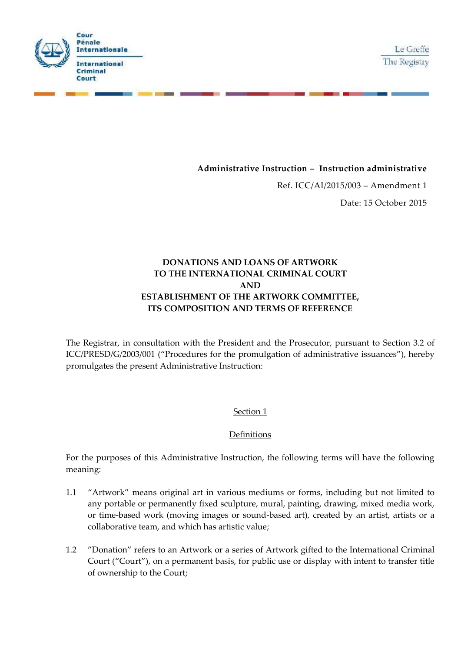



Ref. ICC/AI/2015/003 – Amendment 1

Date: 15 October 2015

# **DONATIONS AND LOANS OF ARTWORK TO THE INTERNATIONAL CRIMINAL COURT AND ESTABLISHMENT OF THE ARTWORK COMMITTEE, ITS COMPOSITION AND TERMS OF REFERENCE**

**--**

**International Criminal** Court

**Internationale** 

**Cour Pénale** 

।<br>-<br>-

The Registrar, in consultation with the President and the Prosecutor, pursuant to Section 3.2 of ICC/PRESD/G/2003/001 ("Procedures for the promulgation of administrative issuances"), hereby promulgates the present Administrative Instruction:

## Section 1

#### **Definitions**

For the purposes of this Administrative Instruction, the following terms will have the following meaning:

- 1.1 "Artwork" means original art in various mediums or forms, including but not limited to any portable or permanently fixed sculpture, mural, painting, drawing, mixed media work, or time-based work (moving images or sound-based art), created by an artist, artists or a collaborative team, and which has artistic value;
- 1.2 "Donation" refers to an Artwork or a series of Artwork gifted to the International Criminal Court ("Court"), on a permanent basis, for public use or display with intent to transfer title of ownership to the Court;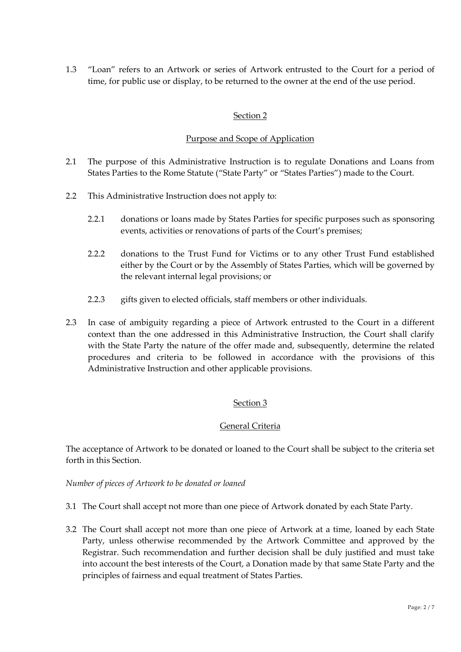1.3 "Loan" refers to an Artwork or series of Artwork entrusted to the Court for a period of time, for public use or display, to be returned to the owner at the end of the use period.

## Section 2

### Purpose and Scope of Application

- 2.1 The purpose of this Administrative Instruction is to regulate Donations and Loans from States Parties to the Rome Statute ("State Party" or "States Parties") made to the Court.
- 2.2 This Administrative Instruction does not apply to:
	- 2.2.1 donations or loans made by States Parties for specific purposes such as sponsoring events, activities or renovations of parts of the Court's premises;
	- 2.2.2 donations to the Trust Fund for Victims or to any other Trust Fund established either by the Court or by the Assembly of States Parties, which will be governed by the relevant internal legal provisions; or
	- 2.2.3 gifts given to elected officials, staff members or other individuals.
- 2.3 In case of ambiguity regarding a piece of Artwork entrusted to the Court in a different context than the one addressed in this Administrative Instruction, the Court shall clarify with the State Party the nature of the offer made and, subsequently, determine the related procedures and criteria to be followed in accordance with the provisions of this Administrative Instruction and other applicable provisions.

## Section 3

#### General Criteria

The acceptance of Artwork to be donated or loaned to the Court shall be subject to the criteria set forth in this Section.

*Number of pieces of Artwork to be donated or loaned*

- 3.1 The Court shall accept not more than one piece of Artwork donated by each State Party.
- 3.2 The Court shall accept not more than one piece of Artwork at a time, loaned by each State Party, unless otherwise recommended by the Artwork Committee and approved by the Registrar. Such recommendation and further decision shall be duly justified and must take into account the best interests of the Court, a Donation made by that same State Party and the principles of fairness and equal treatment of States Parties.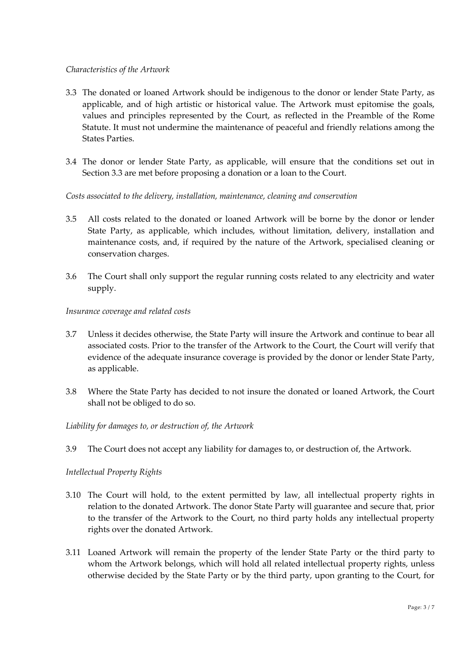#### *Characteristics of the Artwork*

- 3.3 The donated or loaned Artwork should be indigenous to the donor or lender State Party, as applicable, and of high artistic or historical value. The Artwork must epitomise the goals, values and principles represented by the Court, as reflected in the Preamble of the Rome Statute. It must not undermine the maintenance of peaceful and friendly relations among the States Parties.
- 3.4 The donor or lender State Party, as applicable, will ensure that the conditions set out in Section 3.3 are met before proposing a donation or a loan to the Court.

#### *Costs associated to the delivery, installation, maintenance, cleaning and conservation*

- 3.5 All costs related to the donated or loaned Artwork will be borne by the donor or lender State Party, as applicable, which includes, without limitation, delivery, installation and maintenance costs, and, if required by the nature of the Artwork, specialised cleaning or conservation charges.
- 3.6 The Court shall only support the regular running costs related to any electricity and water supply.

#### *Insurance coverage and related costs*

- 3.7 Unless it decides otherwise, the State Party will insure the Artwork and continue to bear all associated costs. Prior to the transfer of the Artwork to the Court, the Court will verify that evidence of the adequate insurance coverage is provided by the donor or lender State Party, as applicable.
- 3.8 Where the State Party has decided to not insure the donated or loaned Artwork, the Court shall not be obliged to do so.

#### *Liability for damages to, or destruction of, the Artwork*

3.9 The Court does not accept any liability for damages to, or destruction of, the Artwork.

#### *Intellectual Property Rights*

- 3.10 The Court will hold, to the extent permitted by law, all intellectual property rights in relation to the donated Artwork. The donor State Party will guarantee and secure that, prior to the transfer of the Artwork to the Court, no third party holds any intellectual property rights over the donated Artwork.
- 3.11 Loaned Artwork will remain the property of the lender State Party or the third party to whom the Artwork belongs, which will hold all related intellectual property rights, unless otherwise decided by the State Party or by the third party, upon granting to the Court, for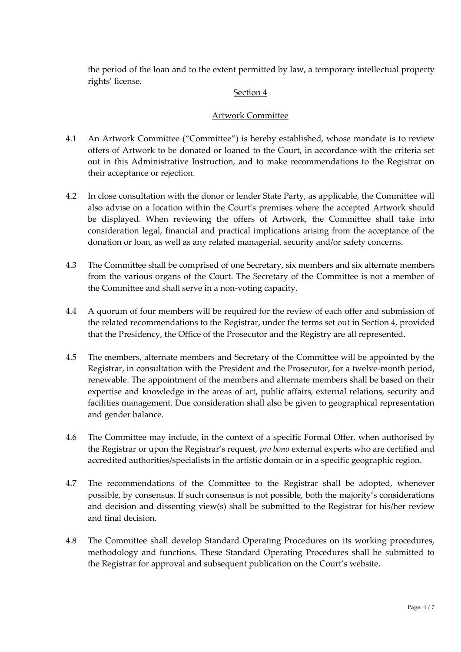the period of the loan and to the extent permitted by law, a temporary intellectual property rights' license.

## Section 4

## Artwork Committee

- 4.1 An Artwork Committee ("Committee") is hereby established, whose mandate is to review offers of Artwork to be donated or loaned to the Court, in accordance with the criteria set out in this Administrative Instruction, and to make recommendations to the Registrar on their acceptance or rejection.
- 4.2 In close consultation with the donor or lender State Party, as applicable, the Committee will also advise on a location within the Court's premises where the accepted Artwork should be displayed. When reviewing the offers of Artwork, the Committee shall take into consideration legal, financial and practical implications arising from the acceptance of the donation or loan, as well as any related managerial, security and/or safety concerns.
- 4.3 The Committee shall be comprised of one Secretary, six members and six alternate members from the various organs of the Court. The Secretary of the Committee is not a member of the Committee and shall serve in a non-voting capacity.
- 4.4 A quorum of four members will be required for the review of each offer and submission of the related recommendations to the Registrar, under the terms set out in Section 4, provided that the Presidency, the Office of the Prosecutor and the Registry are all represented.
- 4.5 The members, alternate members and Secretary of the Committee will be appointed by the Registrar, in consultation with the President and the Prosecutor, for a twelve-month period, renewable. The appointment of the members and alternate members shall be based on their expertise and knowledge in the areas of art, public affairs, external relations, security and facilities management. Due consideration shall also be given to geographical representation and gender balance.
- 4.6 The Committee may include, in the context of a specific Formal Offer, when authorised by the Registrar or upon the Registrar's request, *pro bono* external experts who are certified and accredited authorities/specialists in the artistic domain or in a specific geographic region.
- 4.7 The recommendations of the Committee to the Registrar shall be adopted, whenever possible, by consensus. If such consensus is not possible, both the majority's considerations and decision and dissenting view(s) shall be submitted to the Registrar for his/her review and final decision.
- 4.8 The Committee shall develop Standard Operating Procedures on its working procedures, methodology and functions. These Standard Operating Procedures shall be submitted to the Registrar for approval and subsequent publication on the Court's website.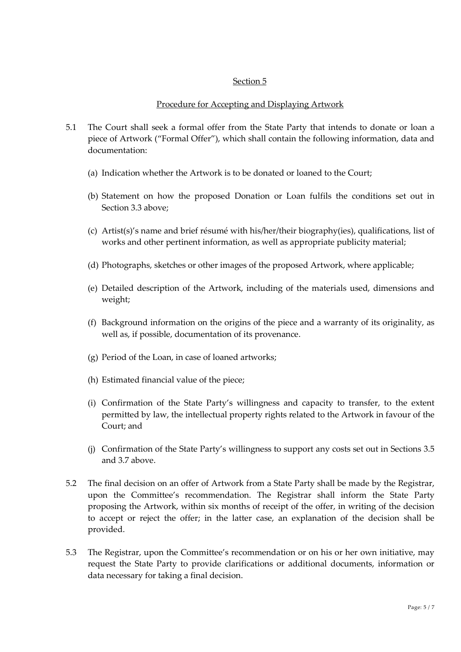#### Section 5

### Procedure for Accepting and Displaying Artwork

- 5.1 The Court shall seek a formal offer from the State Party that intends to donate or loan a piece of Artwork ("Formal Offer"), which shall contain the following information, data and documentation:
	- (a) Indication whether the Artwork is to be donated or loaned to the Court;
	- (b) Statement on how the proposed Donation or Loan fulfils the conditions set out in Section 3.3 above;
	- (c) Artist(s)'s name and brief résumé with his/her/their biography(ies), qualifications, list of works and other pertinent information, as well as appropriate publicity material;
	- (d) Photographs, sketches or other images of the proposed Artwork, where applicable;
	- (e) Detailed description of the Artwork, including of the materials used, dimensions and weight;
	- (f) Background information on the origins of the piece and a warranty of its originality, as well as, if possible, documentation of its provenance.
	- (g) Period of the Loan, in case of loaned artworks;
	- (h) Estimated financial value of the piece;
	- (i) Confirmation of the State Party's willingness and capacity to transfer, to the extent permitted by law, the intellectual property rights related to the Artwork in favour of the Court; and
	- (j) Confirmation of the State Party's willingness to support any costs set out in Sections 3.5 and 3.7 above.
- 5.2 The final decision on an offer of Artwork from a State Party shall be made by the Registrar, upon the Committee's recommendation. The Registrar shall inform the State Party proposing the Artwork, within six months of receipt of the offer, in writing of the decision to accept or reject the offer; in the latter case, an explanation of the decision shall be provided.
- 5.3 The Registrar, upon the Committee's recommendation or on his or her own initiative, may request the State Party to provide clarifications or additional documents, information or data necessary for taking a final decision.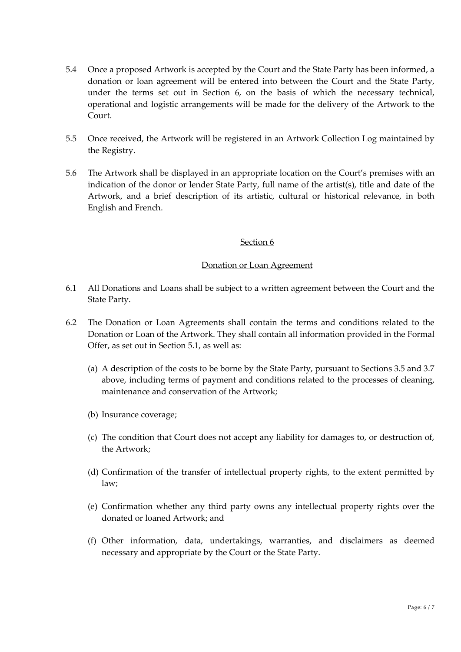- 5.4 Once a proposed Artwork is accepted by the Court and the State Party has been informed, a donation or loan agreement will be entered into between the Court and the State Party, under the terms set out in Section 6, on the basis of which the necessary technical, operational and logistic arrangements will be made for the delivery of the Artwork to the Court.
- 5.5 Once received, the Artwork will be registered in an Artwork Collection Log maintained by the Registry.
- 5.6 The Artwork shall be displayed in an appropriate location on the Court's premises with an indication of the donor or lender State Party, full name of the artist(s), title and date of the Artwork, and a brief description of its artistic, cultural or historical relevance, in both English and French.

#### Section 6

#### Donation or Loan Agreement

- 6.1 All Donations and Loans shall be subject to a written agreement between the Court and the State Party.
- 6.2 The Donation or Loan Agreements shall contain the terms and conditions related to the Donation or Loan of the Artwork. They shall contain all information provided in the Formal Offer, as set out in Section 5.1, as well as:
	- (a) A description of the costs to be borne by the State Party, pursuant to Sections 3.5 and 3.7 above, including terms of payment and conditions related to the processes of cleaning, maintenance and conservation of the Artwork;
	- (b) Insurance coverage;
	- (c) The condition that Court does not accept any liability for damages to, or destruction of, the Artwork;
	- (d) Confirmation of the transfer of intellectual property rights, to the extent permitted by law;
	- (e) Confirmation whether any third party owns any intellectual property rights over the donated or loaned Artwork; and
	- (f) Other information, data, undertakings, warranties, and disclaimers as deemed necessary and appropriate by the Court or the State Party.